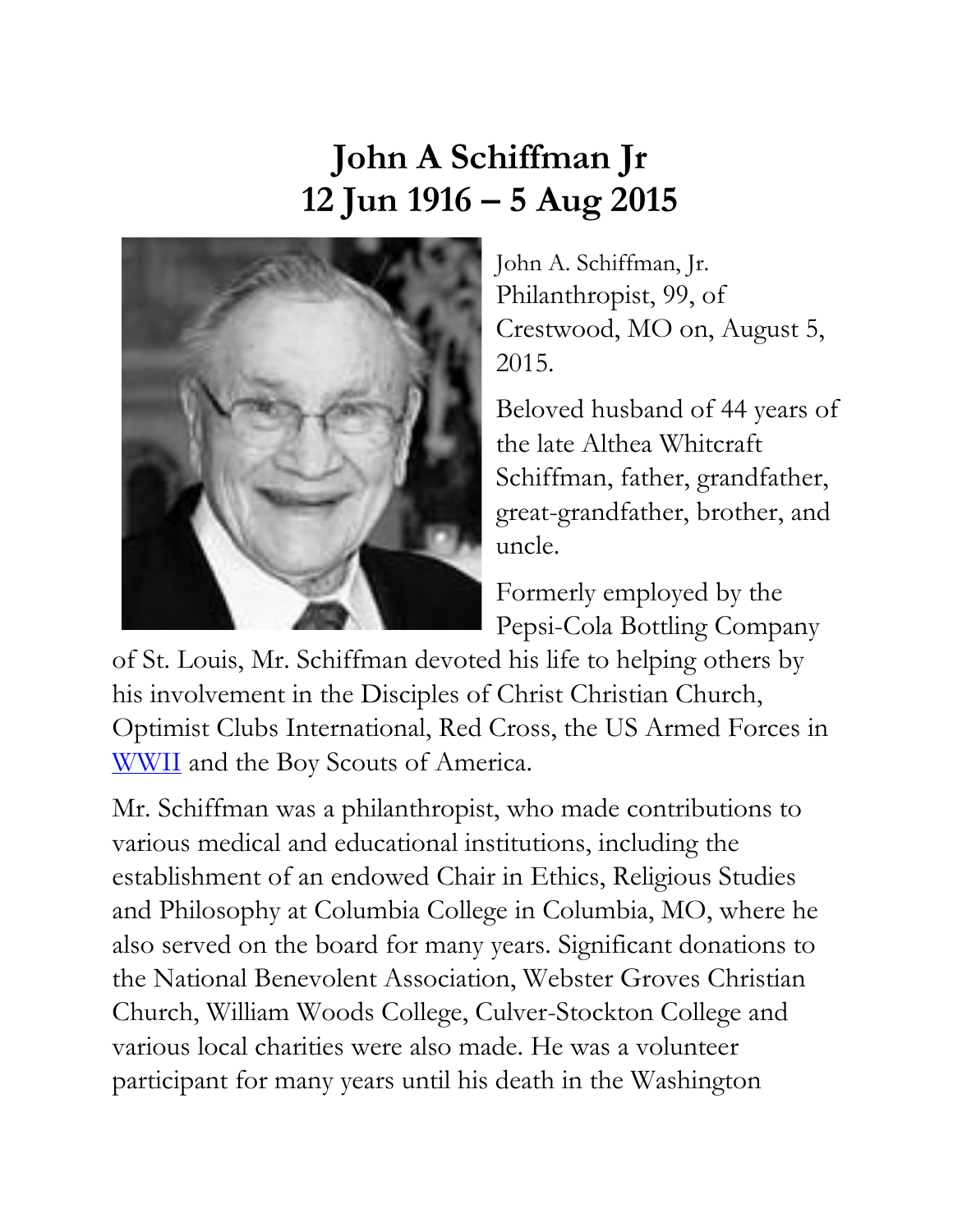## **John A Schiffman Jr 12 Jun 1916 – 5 Aug 2015**



John A. Schiffman, Jr. Philanthropist, 99, of Crestwood, MO on, August 5, 2015.

Beloved husband of 44 years of the late Althea Whitcraft Schiffman, father, grandfather, great-grandfather, brother, and uncle.

Formerly employed by the Pepsi-Cola Bottling Company

of St. Louis, Mr. Schiffman devoted his life to helping others by his involvement in the Disciples of Christ Christian Church, Optimist Clubs International, Red Cross, the US Armed Forces in [WWII](http://www.legacy.com/memorial-sites/ww2/) and the Boy Scouts of America.

Mr. Schiffman was a philanthropist, who made contributions to various medical and educational institutions, including the establishment of an endowed Chair in Ethics, Religious Studies and Philosophy at Columbia College in Columbia, MO, where he also served on the board for many years. Significant donations to the National Benevolent Association, Webster Groves Christian Church, William Woods College, Culver-Stockton College and various local charities were also made. He was a volunteer participant for many years until his death in the Washington